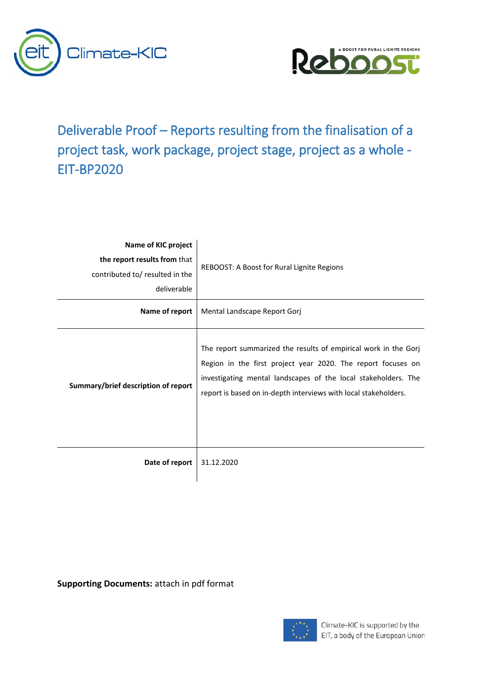



Deliverable Proof – Reports resulting from the finalisation of a project task, work package, project stage, project as a whole - EIT-BP2020

| Name of KIC project<br>the report results from that<br>contributed to/ resulted in the<br>deliverable | REBOOST: A Boost for Rural Lignite Regions                                                                                                                                                                                                                           |  |
|-------------------------------------------------------------------------------------------------------|----------------------------------------------------------------------------------------------------------------------------------------------------------------------------------------------------------------------------------------------------------------------|--|
| Name of report                                                                                        | Mental Landscape Report Gorj                                                                                                                                                                                                                                         |  |
| Summary/brief description of report                                                                   | The report summarized the results of empirical work in the Gorj<br>Region in the first project year 2020. The report focuses on<br>investigating mental landscapes of the local stakeholders. The<br>report is based on in-depth interviews with local stakeholders. |  |
| Date of report                                                                                        | 31.12.2020                                                                                                                                                                                                                                                           |  |

**Supporting Documents:** attach in pdf format

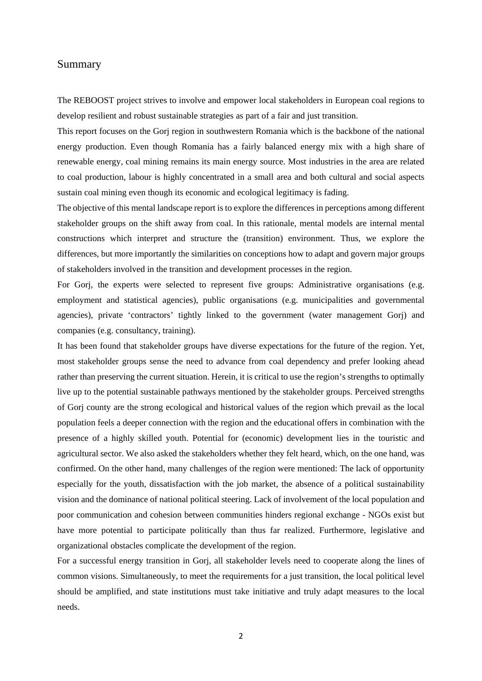## <span id="page-1-0"></span>Summary

The REBOOST project strives to involve and empower local stakeholders in European coal regions to develop resilient and robust sustainable strategies as part of a fair and just transition.

This report focuses on the Gorj region in southwestern Romania which is the backbone of the national energy production. Even though Romania has a fairly balanced energy mix with a high share of renewable energy, coal mining remains its main energy source. Most industries in the area are related to coal production, labour is highly concentrated in a small area and both cultural and social aspects sustain coal mining even though its economic and ecological legitimacy is fading.

The objective of this mental landscape report is to explore the differences in perceptions among different stakeholder groups on the shift away from coal. In this rationale, mental models are internal mental constructions which interpret and structure the (transition) environment. Thus, we explore the differences, but more importantly the similarities on conceptions how to adapt and govern major groups of stakeholders involved in the transition and development processes in the region.

For Gorj, the experts were selected to represent five groups: Administrative organisations (e.g. employment and statistical agencies), public organisations (e.g. municipalities and governmental agencies), private 'contractors' tightly linked to the government (water management Gorj) and companies (e.g. consultancy, training).

It has been found that stakeholder groups have diverse expectations for the future of the region. Yet, most stakeholder groups sense the need to advance from coal dependency and prefer looking ahead rather than preserving the current situation. Herein, it is critical to use the region's strengths to optimally live up to the potential sustainable pathways mentioned by the stakeholder groups. Perceived strengths of Gorj county are the strong ecological and historical values of the region which prevail as the local population feels a deeper connection with the region and the educational offers in combination with the presence of a highly skilled youth. Potential for (economic) development lies in the touristic and agricultural sector. We also asked the stakeholders whether they felt heard, which, on the one hand, was confirmed. On the other hand, many challenges of the region were mentioned: The lack of opportunity especially for the youth, dissatisfaction with the job market, the absence of a political sustainability vision and the dominance of national political steering. Lack of involvement of the local population and poor communication and cohesion between communities hinders regional exchange - NGOs exist but have more potential to participate politically than thus far realized. Furthermore, legislative and organizational obstacles complicate the development of the region.

For a successful energy transition in Gorj, all stakeholder levels need to cooperate along the lines of common visions. Simultaneously, to meet the requirements for a just transition, the local political level should be amplified, and state institutions must take initiative and truly adapt measures to the local needs.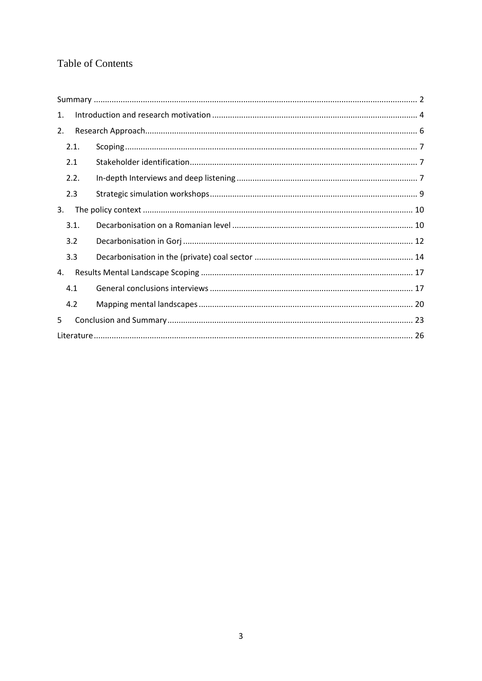# Table of Contents

| $\mathbf{1}$ . |      |  |  |  |  |
|----------------|------|--|--|--|--|
| 2.             |      |  |  |  |  |
|                | 2.1. |  |  |  |  |
|                | 2.1  |  |  |  |  |
|                | 2.2. |  |  |  |  |
|                | 2.3  |  |  |  |  |
| 3.             |      |  |  |  |  |
|                | 3.1. |  |  |  |  |
|                | 3.2  |  |  |  |  |
|                | 3.3  |  |  |  |  |
| 4.             |      |  |  |  |  |
|                | 4.1  |  |  |  |  |
|                | 4.2  |  |  |  |  |
| 5              |      |  |  |  |  |
|                |      |  |  |  |  |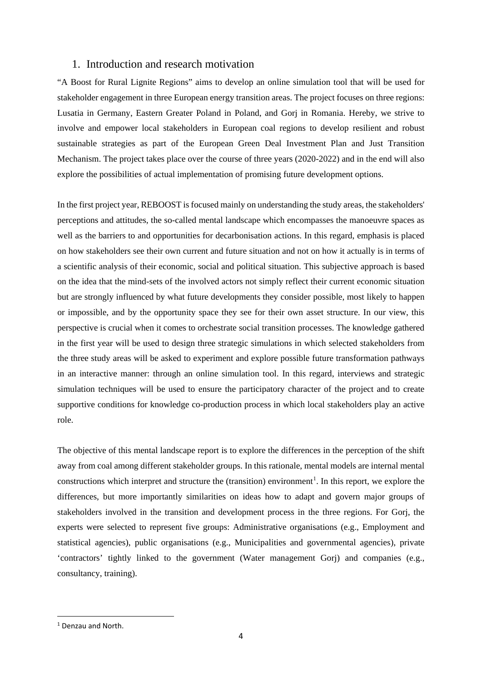## <span id="page-3-0"></span>1. Introduction and research motivation

"A Boost for Rural Lignite Regions" aims to develop an online simulation tool that will be used for stakeholder engagement in three European energy transition areas. The project focuses on three regions: Lusatia in Germany, Eastern Greater Poland in Poland, and Gorj in Romania. Hereby, we strive to involve and empower local stakeholders in European coal regions to develop resilient and robust sustainable strategies as part of the European Green Deal Investment Plan and Just Transition Mechanism. The project takes place over the course of three years (2020-2022) and in the end will also explore the possibilities of actual implementation of promising future development options.

In the first project year, REBOOST is focused mainly on understanding the study areas, the stakeholders' perceptions and attitudes, the so-called mental landscape which encompasses the manoeuvre spaces as well as the barriers to and opportunities for decarbonisation actions. In this regard, emphasis is placed on how stakeholders see their own current and future situation and not on how it actually is in terms of a scientific analysis of their economic, social and political situation. This subjective approach is based on the idea that the mind-sets of the involved actors not simply reflect their current economic situation but are strongly influenced by what future developments they consider possible, most likely to happen or impossible, and by the opportunity space they see for their own asset structure. In our view, this perspective is crucial when it comes to orchestrate social transition processes. The knowledge gathered in the first year will be used to design three strategic simulations in which selected stakeholders from the three study areas will be asked to experiment and explore possible future transformation pathways in an interactive manner: through an online simulation tool. In this regard, interviews and strategic simulation techniques will be used to ensure the participatory character of the project and to create supportive conditions for knowledge co-production process in which local stakeholders play an active role.

The objective of this mental landscape report is to explore the differences in the perception of the shift away from coal among different stakeholder groups. In this rationale, mental models are internal mental constructions which interpret and structure the (transition) environment<sup>[1](#page-3-1)</sup>. In this report, we explore the differences, but more importantly similarities on ideas how to adapt and govern major groups of stakeholders involved in the transition and development process in the three regions. For Gorj, the experts were selected to represent five groups: Administrative organisations (e.g., Employment and statistical agencies), public organisations (e.g., Municipalities and governmental agencies), private 'contractors' tightly linked to the government (Water management Gorj) and companies (e.g., consultancy, training).

<span id="page-3-1"></span> $<sup>1</sup>$  Denzau and North.</sup>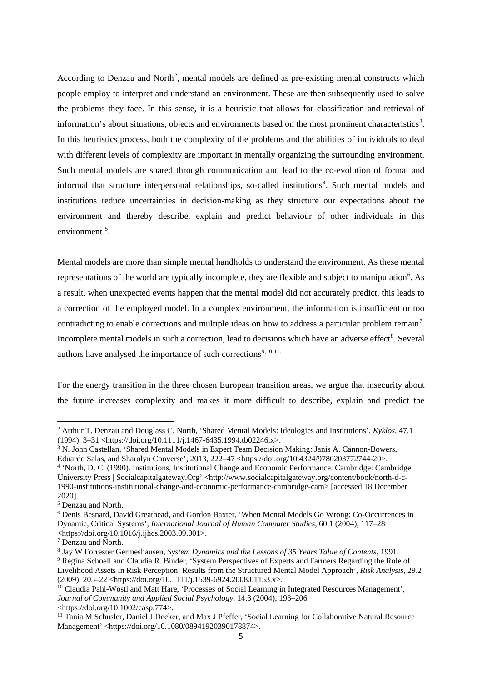According to Denzau and North<sup>[2](#page-4-0)</sup>, mental models are defined as pre-existing mental constructs which people employ to interpret and understand an environment. These are then subsequently used to solve the problems they face. In this sense, it is a heuristic that allows for classification and retrieval of information's about situations, objects and environments based on the most prominent characteristics<sup>[3](#page-4-1)</sup>. In this heuristics process, both the complexity of the problems and the abilities of individuals to deal with different levels of complexity are important in mentally organizing the surrounding environment. Such mental models are shared through communication and lead to the co-evolution of formal and informal that structure interpersonal relationships, so-called institutions<sup>[4](#page-4-2)</sup>. Such mental models and institutions reduce uncertainties in decision-making as they structure our expectations about the environment and thereby describe, explain and predict behaviour of other individuals in this environment<sup>[5](#page-4-3)</sup>.

Mental models are more than simple mental handholds to understand the environment. As these mental representations of the world are typically incomplete, they are flexible and subject to manipulation<sup>[6](#page-4-4)</sup>. As a result, when unexpected events happen that the mental model did not accurately predict, this leads to a correction of the employed model. In a complex environment, the information is insufficient or too contradicting to enable corrections and multiple ideas on how to address a particular problem remain<sup>[7](#page-4-5)</sup>. Incomplete mental models in such a correction, lead to decisions which have an adverse effect<sup>[8](#page-4-6)</sup>. Several authors have analysed the importance of such corrections<sup>[9,](#page-4-7)[10](#page-4-8),[11.](#page-4-9)</sup>

For the energy transition in the three chosen European transition areas, we argue that insecurity about the future increases complexity and makes it more difficult to describe, explain and predict the

 $\overline{a}$ 

<span id="page-4-0"></span><sup>2</sup> Arthur T. Denzau and Douglass C. North, 'Shared Mental Models: Ideologies and Institutions', *Kyklos*, 47.1 (1994), 3–31 <https://doi.org/10.1111/j.1467-6435.1994.tb02246.x>.

<span id="page-4-1"></span><sup>3</sup> N. John Castellan, 'Shared Mental Models in Expert Team Decision Making: Janis A. Cannon-Bowers, Eduardo Salas, and Sharolyn Converse', 2013, 222–47 <https://doi.org/10.4324/9780203772744-20>.

<span id="page-4-2"></span><sup>4</sup> 'North, D. C. (1990). Institutions, Institutional Change and Economic Performance. Cambridge: Cambridge University Press | Socialcapitalgateway.Org' <http://www.socialcapitalgateway.org/content/book/north-d-c-1990-institutions-institutional-change-and-economic-performance-cambridge-cam> [accessed 18 December 2020].

<span id="page-4-3"></span><sup>5</sup> Denzau and North.

<span id="page-4-4"></span><sup>6</sup> Denis Besnard, David Greathead, and Gordon Baxter, 'When Mental Models Go Wrong: Co-Occurrences in Dynamic, Critical Systems', *International Journal of Human Computer Studies*, 60.1 (2004), 117–28 <https://doi.org/10.1016/j.ijhcs.2003.09.001>.

<span id="page-4-5"></span><sup>7</sup> Denzau and North.

<span id="page-4-6"></span><sup>8</sup> Jay W Forrester Germeshausen, *System Dynamics and the Lessons of 35 Years Table of Contents*, 1991.

<span id="page-4-7"></span><sup>9</sup> Regina Schoell and Claudia R. Binder, 'System Perspectives of Experts and Farmers Regarding the Role of Livelihood Assets in Risk Perception: Results from the Structured Mental Model Approach', *Risk Analysis*, 29.2 (2009), 205–22 <https://doi.org/10.1111/j.1539-6924.2008.01153.x>.

<span id="page-4-8"></span><sup>&</sup>lt;sup>10</sup> Claudia Pahl-Wostl and Matt Hare, 'Processes of Social Learning in Integrated Resources Management', *Journal of Community and Applied Social Psychology*, 14.3 (2004), 193–206 <https://doi.org/10.1002/casp.774>.

<span id="page-4-9"></span><sup>&</sup>lt;sup>11</sup> Tania M Schusler, Daniel J Decker, and Max J Pfeffer, 'Social Learning for Collaborative Natural Resource Management' <https://doi.org/10.1080/08941920390178874>.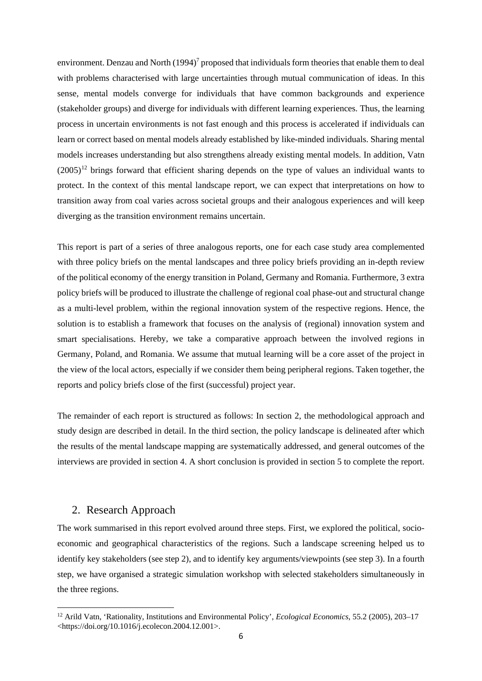environment. Denzau and North  $(1994)^7$  proposed that individuals form theories that enable them to deal with problems characterised with large uncertainties through mutual communication of ideas. In this sense, mental models converge for individuals that have common backgrounds and experience (stakeholder groups) and diverge for individuals with different learning experiences. Thus, the learning process in uncertain environments is not fast enough and this process is accelerated if individuals can learn or correct based on mental models already established by like-minded individuals. Sharing mental models increases understanding but also strengthens already existing mental models. In addition, Vatn  $(2005)^{12}$  $(2005)^{12}$  $(2005)^{12}$  brings forward that efficient sharing depends on the type of values an individual wants to protect. In the context of this mental landscape report, we can expect that interpretations on how to transition away from coal varies across societal groups and their analogous experiences and will keep diverging as the transition environment remains uncertain.

This report is part of a series of three analogous reports, one for each case study area complemented with three policy briefs on the mental landscapes and three policy briefs providing an in-depth review of the political economy of the energy transition in Poland, Germany and Romania. Furthermore, 3 extra policy briefs will be produced to illustrate the challenge of regional coal phase-out and structural change as a multi-level problem, within the regional innovation system of the respective regions. Hence, the solution is to establish a framework that focuses on the analysis of (regional) innovation system and smart specialisations. Hereby, we take a comparative approach between the involved regions in Germany, Poland, and Romania. We assume that mutual learning will be a core asset of the project in the view of the local actors, especially if we consider them being peripheral regions. Taken together, the reports and policy briefs close of the first (successful) project year.

The remainder of each report is structured as follows: In section 2, the methodological approach and study design are described in detail. In the third section, the policy landscape is delineated after which the results of the mental landscape mapping are systematically addressed, and general outcomes of the interviews are provided in section 4. A short conclusion is provided in section 5 to complete the report.

## <span id="page-5-0"></span>2. Research Approach

**.** 

The work summarised in this report evolved around three steps. First, we explored the political, socioeconomic and geographical characteristics of the regions. Such a landscape screening helped us to identify key stakeholders (see step 2), and to identify key arguments/viewpoints (see step 3). In a fourth step, we have organised a strategic simulation workshop with selected stakeholders simultaneously in the three regions.

<span id="page-5-1"></span><sup>12</sup> Arild Vatn, 'Rationality, Institutions and Environmental Policy', *Ecological Economics*, 55.2 (2005), 203–17 <https://doi.org/10.1016/j.ecolecon.2004.12.001>.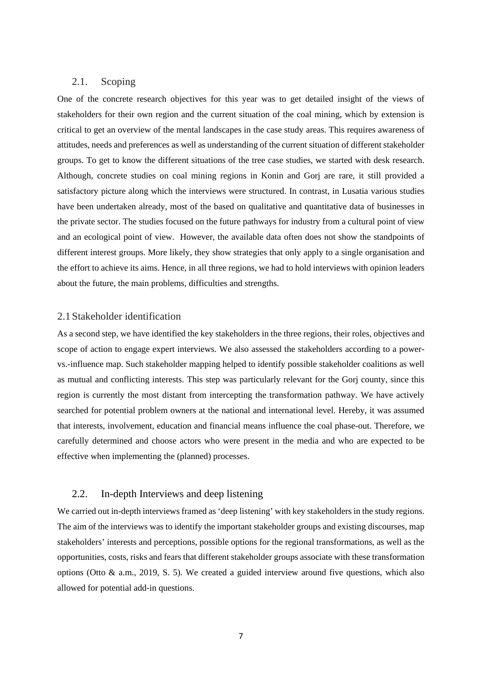### <span id="page-6-0"></span>2.1. Scoping

One of the concrete research objectives for this year was to get detailed insight of the views of stakeholders for their own region and the current situation of the coal mining, which by extension is critical to get an overview of the mental landscapes in the case study areas. This requires awareness of attitudes, needs and preferences as well as understanding of the current situation of different stakeholder groups. To get to know the different situations of the tree case studies, we started with desk research. Although, concrete studies on coal mining regions in Konin and Gorj are rare, it still provided a satisfactory picture along which the interviews were structured. In contrast, in Lusatia various studies have been undertaken already, most of the based on qualitative and quantitative data of businesses in the private sector. The studies focused on the future pathways for industry from a cultural point of view and an ecological point of view. However, the available data often does not show the standpoints of different interest groups. More likely, they show strategies that only apply to a single organisation and the effort to achieve its aims. Hence, in all three regions, we had to hold interviews with opinion leaders about the future, the main problems, difficulties and strengths.

## <span id="page-6-1"></span>2.1Stakeholder identification

As a second step, we have identified the key stakeholders in the three regions, their roles, objectives and scope of action to engage expert interviews. We also assessed the stakeholders according to a powervs.-influence map. Such stakeholder mapping helped to identify possible stakeholder coalitions as well as mutual and conflicting interests. This step was particularly relevant for the Gorj county, since this region is currently the most distant from intercepting the transformation pathway. We have actively searched for potential problem owners at the national and international level. Hereby, it was assumed that interests, involvement, education and financial means influence the coal phase-out. Therefore, we carefully determined and choose actors who were present in the media and who are expected to be effective when implementing the (planned) processes.

## <span id="page-6-2"></span>2.2. In-depth Interviews and deep listening

We carried out in-depth interviews framed as 'deep listening' with key stakeholders in the study regions. The aim of the interviews was to identify the important stakeholder groups and existing discourses, map stakeholders' interests and perceptions, possible options for the regional transformations, as well as the opportunities, costs, risks and fears that different stakeholder groups associate with these transformation options (Otto & a.m., 2019, S. 5). We created a guided interview around five questions, which also allowed for potential add-in questions.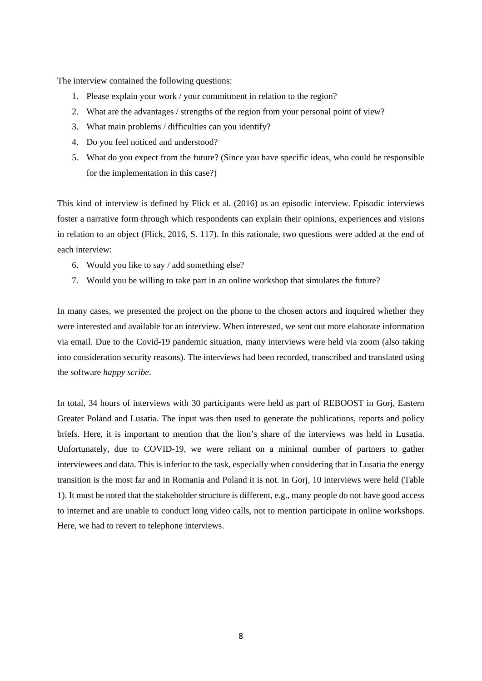The interview contained the following questions:

- 1. Please explain your work / your commitment in relation to the region?
- 2. What are the advantages / strengths of the region from your personal point of view?
- 3. What main problems / difficulties can you identify?
- 4. Do you feel noticed and understood?
- 5. What do you expect from the future? (Since you have specific ideas, who could be responsible for the implementation in this case?)

This kind of interview is defined by Flick et al. (2016) as an episodic interview. Episodic interviews foster a narrative form through which respondents can explain their opinions, experiences and visions in relation to an object (Flick, 2016, S. 117). In this rationale, two questions were added at the end of each interview:

- 6. Would you like to say / add something else?
- 7. Would you be willing to take part in an online workshop that simulates the future?

In many cases, we presented the project on the phone to the chosen actors and inquired whether they were interested and available for an interview. When interested, we sent out more elaborate information via email. Due to the Covid-19 pandemic situation, many interviews were held via zoom (also taking into consideration security reasons). The interviews had been recorded, transcribed and translated using the software *happy scribe*.

In total, 34 hours of interviews with 30 participants were held as part of REBOOST in Gorj, Eastern Greater Poland and Lusatia. The input was then used to generate the publications, reports and policy briefs. Here, it is important to mention that the lion's share of the interviews was held in Lusatia. Unfortunately, due to COVID-19, we were reliant on a minimal number of partners to gather interviewees and data. This is inferior to the task, especially when considering that in Lusatia the energy transition is the most far and in Romania and Poland it is not. In Gorj, 10 interviews were held (Table 1). It must be noted that the stakeholder structure is different, e.g., many people do not have good access to internet and are unable to conduct long video calls, not to mention participate in online workshops. Here, we had to revert to telephone interviews.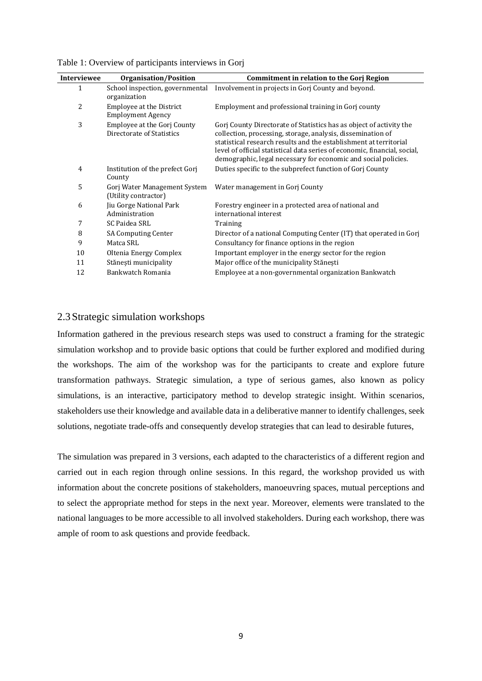| <b>Interviewee</b> | <b>Organisation/Position</b>                                | <b>Commitment in relation to the Gorj Region</b>                                                                                                                                                                                                                                                                                                       |
|--------------------|-------------------------------------------------------------|--------------------------------------------------------------------------------------------------------------------------------------------------------------------------------------------------------------------------------------------------------------------------------------------------------------------------------------------------------|
| 1                  | School inspection, governmental<br>organization             | Involvement in projects in Gorj County and beyond.                                                                                                                                                                                                                                                                                                     |
| 2                  | <b>Employee at the District</b><br><b>Employment Agency</b> | Employment and professional training in Gorj county                                                                                                                                                                                                                                                                                                    |
| 3                  | Employee at the Gorj County<br>Directorate of Statistics    | Gorj County Directorate of Statistics has as object of activity the<br>collection, processing, storage, analysis, dissemination of<br>statistical research results and the establishment at territorial<br>level of official statistical data series of economic, financial, social,<br>demographic, legal necessary for economic and social policies. |
| 4                  | Institution of the prefect Gorj<br>County                   | Duties specific to the subprefect function of Gorj County                                                                                                                                                                                                                                                                                              |
| 5                  | Gorj Water Management System<br>(Utility contractor)        | Water management in Gorj County                                                                                                                                                                                                                                                                                                                        |
| 6                  | Jiu Gorge National Park<br>Administration                   | Forestry engineer in a protected area of national and<br>international interest                                                                                                                                                                                                                                                                        |
| 7                  | SC Paidea SRL                                               | Training                                                                                                                                                                                                                                                                                                                                               |
| 8                  | <b>SA Computing Center</b>                                  | Director of a national Computing Center (IT) that operated in Gorj                                                                                                                                                                                                                                                                                     |
| 9                  | Matca SRL                                                   | Consultancy for finance options in the region                                                                                                                                                                                                                                                                                                          |
| 10                 | Oltenia Energy Complex                                      | Important employer in the energy sector for the region                                                                                                                                                                                                                                                                                                 |
| 11                 | Stănești municipality                                       | Major office of the municipality Stănești                                                                                                                                                                                                                                                                                                              |
| 12                 | Bankwatch Romania                                           | Employee at a non-governmental organization Bankwatch                                                                                                                                                                                                                                                                                                  |

Table 1: Overview of participants interviews in Gorj

## <span id="page-8-0"></span>2.3Strategic simulation workshops

Information gathered in the previous research steps was used to construct a framing for the strategic simulation workshop and to provide basic options that could be further explored and modified during the workshops. The aim of the workshop was for the participants to create and explore future transformation pathways. Strategic simulation, a type of serious games, also known as policy simulations, is an interactive, participatory method to develop strategic insight. Within scenarios, stakeholders use their knowledge and available data in a deliberative manner to identify challenges, seek solutions, negotiate trade-offs and consequently develop strategies that can lead to desirable futures,

The simulation was prepared in 3 versions, each adapted to the characteristics of a different region and carried out in each region through online sessions. In this regard, the workshop provided us with information about the concrete positions of stakeholders, manoeuvring spaces, mutual perceptions and to select the appropriate method for steps in the next year. Moreover, elements were translated to the national languages to be more accessible to all involved stakeholders. During each workshop, there was ample of room to ask questions and provide feedback.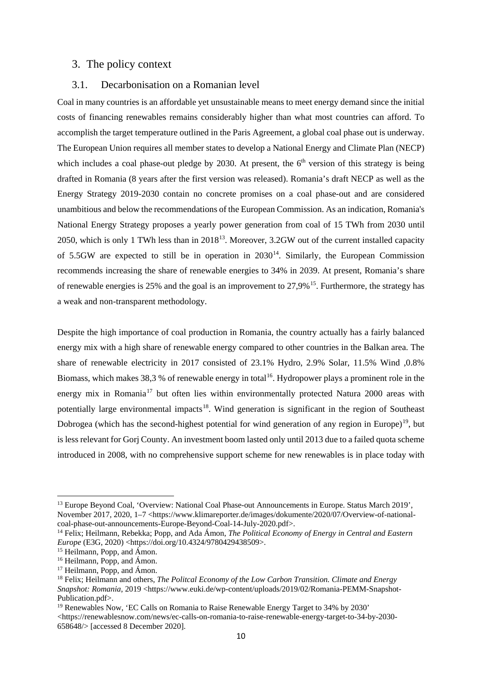## <span id="page-9-0"></span>3. The policy context

#### <span id="page-9-1"></span>3.1. Decarbonisation on a Romanian level

Coal in many countries is an affordable yet unsustainable means to meet energy demand since the initial costs of financing renewables remains considerably higher than what most countries can afford. To accomplish the target temperature outlined in the Paris Agreement, a global coal phase out is underway. The European Union requires all member states to develop a National Energy and Climate Plan (NECP) which includes a coal phase-out pledge by 2030. At present, the  $6<sup>th</sup>$  version of this strategy is being drafted in Romania (8 years after the first version was released). Romania's draft NECP as well as the Energy Strategy 2019-2030 contain no concrete promises on a coal phase-out and are considered unambitious and below the recommendations of the European Commission. As an indication, Romania's National Energy Strategy proposes a yearly power generation from coal of 15 TWh from 2030 until 2050, which is only 1 TWh less than in  $2018^{13}$ . Moreover, 3.2GW out of the current installed capacity of 5.5GW are expected to still be in operation in  $2030^{14}$  $2030^{14}$  $2030^{14}$ . Similarly, the European Commission recommends increasing the share of renewable energies to 34% in 2039. At present, Romania's share of renewable energies is 25% and the goal is an improvement to 27,9%[15.](#page-9-4) Furthermore, the strategy has a weak and non-transparent methodology.

Despite the high importance of coal production in Romania, the country actually has a fairly balanced energy mix with a high share of renewable energy compared to other countries in the Balkan area. The share of renewable electricity in 2017 consisted of 23.1% Hydro, 2.9% Solar, 11.5% Wind ,0.8% Biomass, which makes 38,3 % of renewable energy in total<sup>16</sup>. Hydropower plays a prominent role in the energy mix in Romania<sup>[17](#page-9-6)</sup> but often lies within environmentally protected Natura 2000 areas with potentially large environmental impacts<sup>18</sup>. Wind generation is significant in the region of Southeast Dobrogea (which has the second-highest potential for wind generation of any region in Europe)<sup>19</sup>, but is less relevant for Gorj County. An investment boom lasted only until 2013 due to a failed quota scheme introduced in 2008, with no comprehensive support scheme for new renewables is in place today with

**.** 

<span id="page-9-2"></span><sup>&</sup>lt;sup>13</sup> Europe Beyond Coal, 'Overview: National Coal Phase-out Announcements in Europe. Status March 2019', November 2017, 2020, 1–7 <https://www.klimareporter.de/images/dokumente/2020/07/Overview-of-nationalcoal-phase-out-announcements-Europe-Beyond-Coal-14-July-2020.pdf>.

<span id="page-9-3"></span><sup>14</sup> Felix; Heilmann, Rebekka; Popp, and Ada Ámon, *The Political Economy of Energy in Central and Eastern Europe* (E3G, 2020) <https://doi.org/10.4324/9780429438509>.

<span id="page-9-4"></span><sup>&</sup>lt;sup>15</sup> Heilmann, Popp, and Ámon.

<span id="page-9-5"></span><sup>16</sup> Heilmann, Popp, and Ámon.

<span id="page-9-6"></span><sup>&</sup>lt;sup>17</sup> Heilmann, Popp, and Ámon.

<span id="page-9-7"></span><sup>18</sup> Felix; Heilmann and others, *The Politcal Economy of the Low Carbon Transition. Climate and Energy Snapshot: Romania*, 2019 <https://www.euki.de/wp-content/uploads/2019/02/Romania-PEMM-Snapshot-Publication.pdf>.

<span id="page-9-8"></span><sup>19</sup> Renewables Now, 'EC Calls on Romania to Raise Renewable Energy Target to 34% by 2030' <https://renewablesnow.com/news/ec-calls-on-romania-to-raise-renewable-energy-target-to-34-by-2030- 658648/> [accessed 8 December 2020].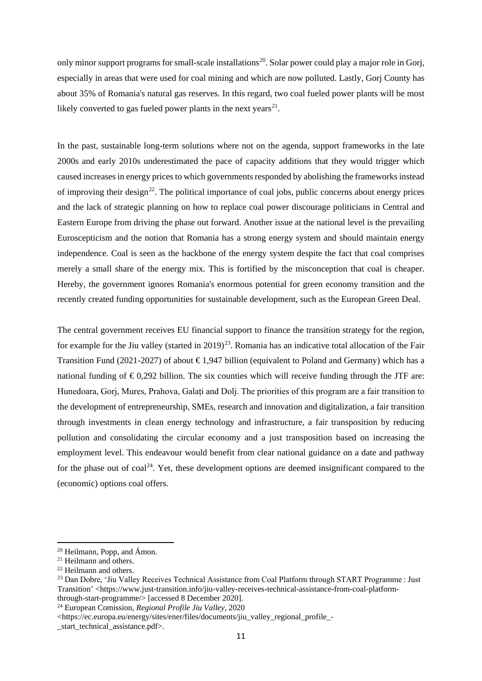only minor support programs for small-scale installations<sup>[20](#page-10-0)</sup>. Solar power could play a major role in Gorj, especially in areas that were used for coal mining and which are now polluted. Lastly, Gorj County has about 35% of Romania's natural gas reserves. In this regard, two coal fueled power plants will be most likely converted to gas fueled power plants in the next years<sup>[21](#page-10-1)</sup>.

In the past, sustainable long-term solutions where not on the agenda, support frameworks in the late 2000s and early 2010s underestimated the pace of capacity additions that they would trigger which caused increases in energy prices to which governments responded by abolishing the frameworks instead of improving their design<sup>[22](#page-10-2)</sup>. The political importance of coal jobs, public concerns about energy prices and the lack of strategic planning on how to replace coal power discourage politicians in Central and Eastern Europe from driving the phase out forward. Another issue at the national level is the prevailing Euroscepticism and the notion that Romania has a strong energy system and should maintain energy independence. Coal is seen as the backbone of the energy system despite the fact that coal comprises merely a small share of the energy mix. This is fortified by the misconception that coal is cheaper. Hereby, the government ignores Romania's enormous potential for green economy transition and the recently created funding opportunities for sustainable development, such as the European Green Deal.

The central government receives EU financial support to finance the transition strategy for the region, for example for the Jiu valley (started in 2019)<sup>23</sup>. Romania has an indicative total allocation of the Fair Transition Fund (2021-2027) of about  $\epsilon$ 1,947 billion (equivalent to Poland and Germany) which has a national funding of  $\epsilon$ 0,292 billion. The six counties which will receive funding through the JTF are: Hunedoara, Gorj, Mures, Prahova, Galați and Dolj. The priorities of this program are a fair transition to the development of entrepreneurship, SMEs, research and innovation and digitalization, a fair transition through investments in clean energy technology and infrastructure, a fair transposition by reducing pollution and consolidating the circular economy and a just transposition based on increasing the employment level. This endeavour would benefit from clear national guidance on a date and pathway for the phase out of  $coal^{24}$ . Yet, these development options are deemed insignificant compared to the (economic) options coal offers.

<u>.</u>

<span id="page-10-0"></span> $20$  Heilmann, Popp, and Ámon.

<span id="page-10-1"></span><sup>21</sup> Heilmann and others.

<span id="page-10-2"></span><sup>22</sup> Heilmann and others.

<span id="page-10-3"></span><sup>&</sup>lt;sup>23</sup> Dan Dobre, 'Jiu Valley Receives Technical Assistance from Coal Platform through START Programme : Just Transition' <https://www.just-transition.info/jiu-valley-receives-technical-assistance-from-coal-platformthrough-start-programme/> [accessed 8 December 2020].

<span id="page-10-4"></span><sup>24</sup> European Comission, *Regional Profile Jiu Valley*, 2020

<sup>&</sup>lt;https://ec.europa.eu/energy/sites/ener/files/documents/jiu\_valley\_regional\_profile\_-

start technical assistance.pdf>.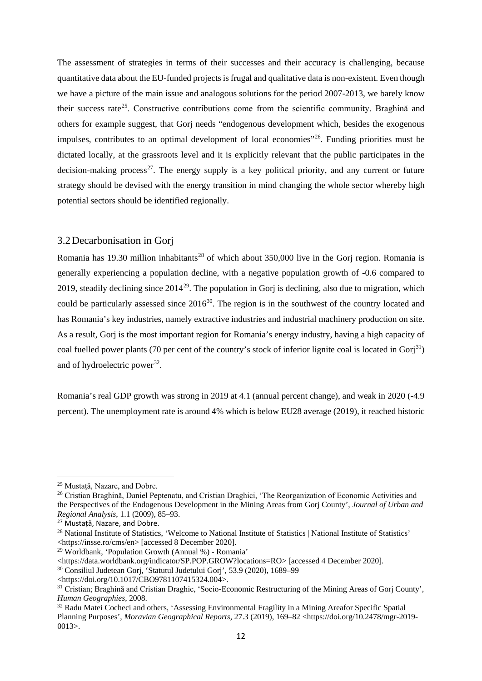The assessment of strategies in terms of their successes and their accuracy is challenging, because quantitative data about the EU-funded projects is frugal and qualitative data is non-existent. Even though we have a picture of the main issue and analogous solutions for the period 2007-2013, we barely know their success rate<sup>[25](#page-11-1)</sup>. Constructive contributions come from the scientific community. Braghină and others for example suggest, that Gorj needs "endogenous development which, besides the exogenous impulses, contributes to an optimal development of local economies<sup>3[26](#page-11-2)</sup>. Funding priorities must be dictated locally, at the grassroots level and it is explicitly relevant that the public participates in the decision-making process<sup>[27](#page-11-3)</sup>. The energy supply is a key political priority, and any current or future strategy should be devised with the energy transition in mind changing the whole sector whereby high potential sectors should be identified regionally.

#### <span id="page-11-0"></span>3.2Decarbonisation in Gorj

Romania has 19.30 million inhabitants<sup>[28](#page-11-4)</sup> of which about 350,000 live in the Gorj region. Romania is generally experiencing a population decline, with a negative population growth of -0.6 compared to 2019, steadily declining since  $2014^{29}$ . The population in Gori is declining, also due to migration, which could be particularly assessed since  $2016^{30}$ . The region is in the southwest of the country located and has Romania's key industries, namely extractive industries and industrial machinery production on site. As a result, Gorj is the most important region for Romania's energy industry, having a high capacity of coal fuelled power plants (70 per cent of the country's stock of inferior lignite coal is located in Gori<sup>31</sup>) and of hydroelectric power<sup>[32](#page-11-8)</sup>.

Romania's real GDP growth was strong in 2019 at 4.1 (annual percent change), and weak in 2020 (-4.9 percent). The unemployment rate is around 4% which is below EU28 average (2019), it reached historic

 $\overline{a}$ 

<span id="page-11-5"></span><sup>29</sup> Worldbank, 'Population Growth (Annual %) - Romania'

<span id="page-11-1"></span><sup>25</sup> Mustață, Nazare, and Dobre.

<span id="page-11-2"></span><sup>&</sup>lt;sup>26</sup> Cristian Braghină, Daniel Peptenatu, and Cristian Draghici, 'The Reorganization of Economic Activities and the Perspectives of the Endogenous Development in the Mining Areas from Gorj County', *Journal of Urban and Regional Analysis*, 1.1 (2009), 85–93.

<span id="page-11-3"></span><sup>27</sup> Mustață, Nazare, and Dobre.

<span id="page-11-4"></span><sup>28</sup> National Institute of Statistics, 'Welcome to National Institute of Statistics | National Institute of Statistics' <https://insse.ro/cms/en> [accessed 8 December 2020].

<sup>&</sup>lt;https://data.worldbank.org/indicator/SP.POP.GROW?locations=RO> [accessed 4 December 2020].

<span id="page-11-6"></span><sup>30</sup> Consiliul Judetean Gorj, 'Statutul Judetului Gorj', 53.9 (2020), 1689–99

<sup>&</sup>lt;https://doi.org/10.1017/CBO9781107415324.004>.

<span id="page-11-7"></span><sup>31</sup> Cristian; Braghină and Cristian Draghic, 'Socio-Economic Restructuring of the Mining Areas of Gorj County', *Human Geographies*, 2008.

<span id="page-11-8"></span><sup>32</sup> Radu Matei Cocheci and others, 'Assessing Environmental Fragility in a Mining Areafor Specific Spatial Planning Purposes', *Moravian Geographical Reports*, 27.3 (2019), 169–82 <https://doi.org/10.2478/mgr-2019-  $0013$ .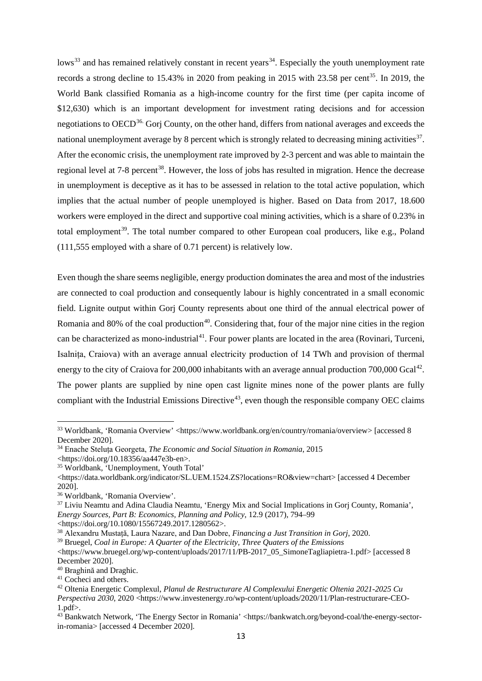lows<sup>[33](#page-12-0)</sup> and has remained relatively constant in recent years<sup>34</sup>. Especially the youth unemployment rate records a strong decline to 15.43% in 2020 from peaking in 2015 with 23.58 per cent<sup>35</sup>. In 2019, the World Bank classified Romania as a high-income country for the first time (per capita income of \$12,630) which is an important development for investment rating decisions and for accession negotiations to OECD<sup>[36.](#page-12-3)</sup> Gorj County, on the other hand, differs from national averages and exceeds the national unemployment average by 8 percent which is strongly related to decreasing mining activities<sup>37</sup>. After the economic crisis, the unemployment rate improved by 2-3 percent and was able to maintain the regional level at 7-8 percent<sup>38</sup>. However, the loss of jobs has resulted in migration. Hence the decrease in unemployment is deceptive as it has to be assessed in relation to the total active population, which implies that the actual number of people unemployed is higher. Based on Data from 2017, 18.600 workers were employed in the direct and supportive coal mining activities, which is a share of 0.23% in total employment<sup>39</sup>. The total number compared to other European coal producers, like e.g., Poland (111,555 employed with a share of 0.71 percent) is relatively low.

Even though the share seems negligible, energy production dominates the area and most of the industries are connected to coal production and consequently labour is highly concentrated in a small economic field. Lignite output within Gorj County represents about one third of the annual electrical power of Romania and 80% of the coal production<sup>[40](#page-12-7)</sup>. Considering that, four of the major nine cities in the region can be characterized as mono-industrial<sup>41</sup>. Four power plants are located in the area (Rovinari, Turceni, Isalnița, Craiova) with an average annual electricity production of 14 TWh and provision of thermal energy to the city of Craiova for 200,000 inhabitants with an average annual production 700,000 Gcal<sup>42</sup>. The power plants are supplied by nine open cast lignite mines none of the power plants are [fully](http://faracarbune.ro/wp-content/uploads/2017/07/IMA-BREF-report.pdf)  [compliant](http://faracarbune.ro/wp-content/uploads/2017/07/IMA-BREF-report.pdf) with the Industrial Emissions Directive<sup>[43](#page-12-10)</sup>, even though the responsible company OEC claims

 $\overline{a}$ 

<span id="page-12-0"></span><sup>33</sup> Worldbank, 'Romania Overview' <https://www.worldbank.org/en/country/romania/overview> [accessed 8 December 2020].

<span id="page-12-1"></span><sup>34</sup> Enache Steluța Georgeta, *The Economic and Social Situation in Romania*, 2015

<sup>&</sup>lt;https://doi.org/10.18356/aa447e3b-en>.

<span id="page-12-2"></span><sup>35</sup> Worldbank, 'Unemployment, Youth Total'

<sup>&</sup>lt;https://data.worldbank.org/indicator/SL.UEM.1524.ZS?locations=RO&view=chart> [accessed 4 December 2020].

<span id="page-12-3"></span><sup>36</sup> Worldbank, 'Romania Overview'.

<span id="page-12-4"></span><sup>37</sup> Liviu Neamtu and Adina Claudia Neamtu, 'Energy Mix and Social Implications in Gorj County, Romania', *Energy Sources, Part B: Economics, Planning and Policy*, 12.9 (2017), 794–99

<sup>&</sup>lt;https://doi.org/10.1080/15567249.2017.1280562>.

<span id="page-12-5"></span><sup>38</sup> Alexandru Mustață, Laura Nazare, and Dan Dobre, *Financing a Just Transition in Gorj*, 2020.

<span id="page-12-6"></span><sup>39</sup> Bruegel, *Coal in Europe: A Quarter of the Electricity, Three Quaters of the Emissions*

<sup>&</sup>lt;https://www.bruegel.org/wp-content/uploads/2017/11/PB-2017\_05\_SimoneTagliapietra-1.pdf> [accessed 8 December 2020].

<span id="page-12-7"></span><sup>40</sup> Braghină and Draghic.

<span id="page-12-8"></span><sup>&</sup>lt;sup>41</sup> Cocheci and others.

<span id="page-12-9"></span><sup>42</sup> Oltenia Energetic Complexul, *Planul de Restructurare Al Complexului Energetic Oltenia 2021-2025 Cu* 

*Perspectiva 2030*, 2020 <https://www.investenergy.ro/wp-content/uploads/2020/11/Plan-restructurare-CEO- $1.$ ndf $>$ .

<span id="page-12-10"></span><sup>43</sup> Bankwatch Network, 'The Energy Sector in Romania' <https://bankwatch.org/beyond-coal/the-energy-sectorin-romania> [accessed 4 December 2020].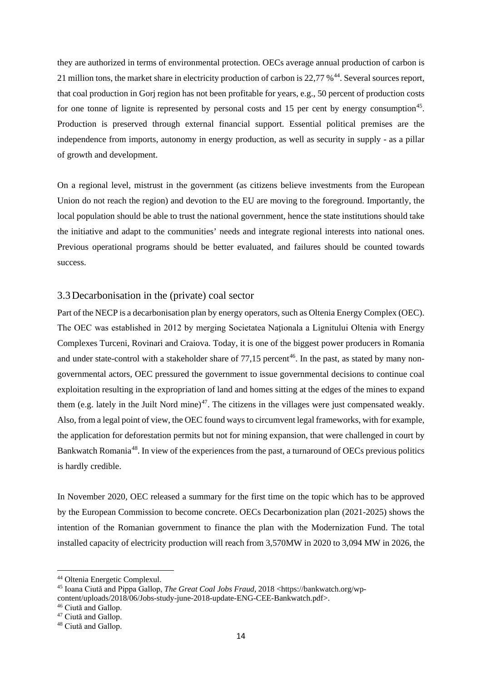they are authorized in terms of environmental protection. OECs average annual production of carbon is 21 million tons, the market share in electricity production of carbon is 22,77 %<sup>44</sup>. Several sources report, that coal production in Gorj region has not been profitable for years, e.g., 50 percent of production costs for one tonne of lignite is represented by personal costs and 15 per cent by energy consumption<sup>45</sup>. Production is preserved through external financial support. Essential political premises are the independence from imports, autonomy in energy production, as well as security in supply - as a pillar of growth and development.

On a regional level, mistrust in the government (as citizens believe investments from the European Union do not reach the region) and devotion to the EU are moving to the foreground. Importantly, the local population should be able to trust the national government, hence the state institutions should take the initiative and adapt to the communities' needs and integrate regional interests into national ones. Previous operational programs should be better evaluated, and failures should be counted towards success.

## <span id="page-13-0"></span>3.3Decarbonisation in the (private) coal sector

Part of the NECP is a decarbonisation plan by energy operators, such as Oltenia Energy Complex (OEC). The OEC was established in 2012 by merging Societatea Naţionala a Lignitului Oltenia with Energy Complexes Turceni, Rovinari and Craiova. Today, it is one of the biggest power producers in Romania and under state-control with a stakeholder share of  $77.15$  percent<sup>46</sup>. In the past, as stated by many nongovernmental actors, OEC pressured the government to issue governmental decisions to continue coal exploitation resulting in the expropriation of land and homes sitting at the edges of the mines to expand them (e.g. lately in the Juilt Nord mine)<sup>[47](#page-13-4)</sup>. The citizens in the villages were just compensated weakly. Also, from a legal point of view, the OEC found ways to circumvent legal frameworks, with for example, the application for deforestation permits but not for mining expansion, that were challenged in court by Bankwatch Romania<sup>48</sup>. In view of the experiences from the past, a turnaround of OECs previous politics is hardly credible.

In November 2020, OEC released a summary for the first time on the topic which has to be approved by the European Commission to become concrete. OECs Decarbonization plan (2021-2025) shows the intention of the Romanian government to finance the plan with the Modernization Fund. The total installed capacity of electricity production will reach from 3,570MW in 2020 to 3,094 MW in 2026, the

<u>.</u>

<span id="page-13-1"></span><sup>44</sup> Oltenia Energetic Complexul.

<span id="page-13-2"></span><sup>&</sup>lt;sup>45</sup> Ioana Ciută and Pippa Gallop, *The Great Coal Jobs Fraud*, 2018 <https://bankwatch.org/wpcontent/uploads/2018/06/Jobs-study-june-2018-update-ENG-CEE-Bankwatch.pdf>.

<sup>46</sup> Ciută and Gallop.

<span id="page-13-4"></span><span id="page-13-3"></span><sup>47</sup> Ciută and Gallop.

<span id="page-13-5"></span><sup>48</sup> Ciută and Gallop.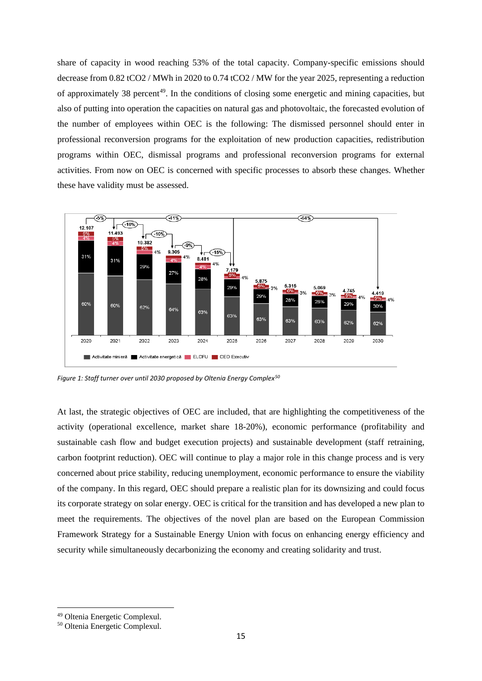share of capacity in wood reaching 53% of the total capacity. Company-specific emissions should decrease from 0.82 tCO2 / MWh in 2020 to 0.74 tCO2 / MW for the year 2025, representing a reduction of approximately 38 percent<sup>49</sup>. In the conditions of closing some energetic and mining capacities, but also of putting into operation the capacities on natural gas and photovoltaic, the forecasted evolution of the number of employees within OEC is the following: The dismissed personnel should enter in professional reconversion programs for the exploitation of new production capacities, redistribution programs within OEC, dismissal programs and professional reconversion programs for external activities. From now on OEC is concerned with specific processes to absorb these changes. Whether these have validity must be assessed.



*Figure 1: Staff turner over until 2030 proposed by Oltenia Energy Complex[50](#page-14-1)*

At last, the strategic objectives of OEC are included, that are highlighting the competitiveness of the activity (operational excellence, market share 18-20%), economic performance (profitability and sustainable cash flow and budget execution projects) and sustainable development (staff retraining, carbon footprint reduction). OEC will continue to play a major role in this change process and is very concerned about price stability, reducing unemployment, economic performance to ensure the viability of the company. In this regard, OEC should prepare a realistic plan for its downsizing and could focus its corporate strategy on solar energy. OEC is critical for the transition and has developed a new plan to meet the requirements. The objectives of the novel plan are based on the European Commission Framework Strategy for a Sustainable Energy Union with focus on enhancing energy efficiency and security while simultaneously decarbonizing the economy and creating solidarity and trust.

**.** 

<span id="page-14-0"></span><sup>49</sup> Oltenia Energetic Complexul.

<span id="page-14-1"></span><sup>50</sup> Oltenia Energetic Complexul.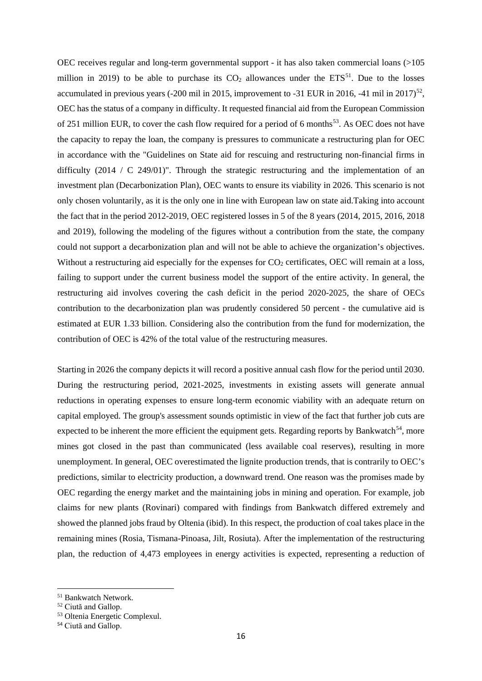OEC receives regular and long-term governmental support - it has also taken commercial loans (>105 million in 2019) to be able to purchase its  $CO<sub>2</sub>$  allowances under the ETS<sup>[51](#page-15-0)</sup>. Due to the losses accumulated in previous years (-200 mil in 2015, improvement to -31 EUR in 2016, -41 mil in 2017)<sup>52</sup>, OEC has the status of a company in difficulty. It requested financial aid from the European Commission of 251 million EUR, to cover the cash flow required for a period of 6 months<sup>53</sup>. As OEC does not have the capacity to repay the loan, the company is pressures to communicate a restructuring plan for OEC in accordance with the "Guidelines on State aid for rescuing and restructuring non-financial firms in difficulty (2014 / C 249/01)". Through the strategic restructuring and the implementation of an investment plan (Decarbonization Plan), OEC wants to ensure its viability in 2026. This scenario is not only chosen voluntarily, as it is the only one in line with European law on state aid.Taking into account the fact that in the period 2012-2019, OEC registered losses in 5 of the 8 years (2014, 2015, 2016, 2018 and 2019), following the modeling of the figures without a contribution from the state, the company could not support a decarbonization plan and will not be able to achieve the organization's objectives. Without a restructuring aid especially for the expenses for  $CO<sub>2</sub>$  certificates, OEC will remain at a loss, failing to support under the current business model the support of the entire activity. In general, the restructuring aid involves covering the cash deficit in the period 2020-2025, the share of OECs contribution to the decarbonization plan was prudently considered 50 percent - the cumulative aid is estimated at EUR 1.33 billion. Considering also the contribution from the fund for modernization, the contribution of OEC is 42% of the total value of the restructuring measures.

Starting in 2026 the company depicts it will record a positive annual cash flow for the period until 2030. During the restructuring period, 2021-2025, investments in existing assets will generate annual reductions in operating expenses to ensure long-term economic viability with an adequate return on capital employed. The group's assessment sounds optimistic in view of the fact that further job cuts are expected to be inherent the more efficient the equipment gets. Regarding reports by Bankwatch<sup>[54](#page-15-3)</sup>, more mines got closed in the past than communicated (less available coal reserves), resulting in more unemployment. In general, OEC overestimated the lignite production trends, that is contrarily to OEC's predictions, similar to electricity production, a downward trend. One reason was the promises made by OEC regarding the energy market and the maintaining jobs in mining and operation. For example, job claims for new plants (Rovinari) compared with findings from Bankwatch differed extremely and showed the planned jobs fraud by Oltenia (ibid). In this respect, the production of coal takes place in the remaining mines (Rosia, Tismana-Pinoasa, Jilt, Rosiuta). After the implementation of the restructuring plan, the reduction of 4,473 employees in energy activities is expected, representing a reduction of

**.** 

<span id="page-15-0"></span><sup>51</sup> Bankwatch Network.

<span id="page-15-1"></span><sup>52</sup> Ciută and Gallop.

<span id="page-15-2"></span><sup>53</sup> Oltenia Energetic Complexul.

<span id="page-15-3"></span><sup>54</sup> Ciută and Gallop.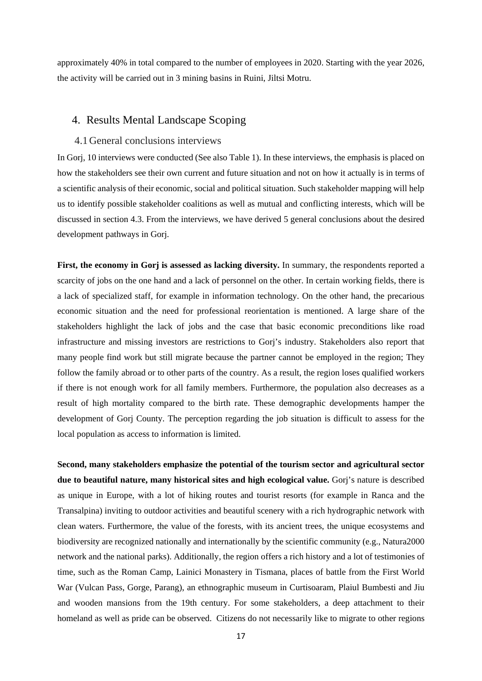approximately 40% in total compared to the number of employees in 2020. Starting with the year 2026, the activity will be carried out in 3 mining basins in Ruini, Jiltsi Motru.

## <span id="page-16-0"></span>4. Results Mental Landscape Scoping

#### <span id="page-16-1"></span>4.1General conclusions interviews

In Gorj, 10 interviews were conducted (See also Table 1). In these interviews, the emphasis is placed on how the stakeholders see their own current and future situation and not on how it actually is in terms of a scientific analysis of their economic, social and political situation. Such stakeholder mapping will help us to identify possible stakeholder coalitions as well as mutual and conflicting interests, which will be discussed in section 4.3. From the interviews, we have derived 5 general conclusions about the desired development pathways in Gorj.

**First, the economy in Gorj is assessed as lacking diversity.** In summary, the respondents reported a scarcity of jobs on the one hand and a lack of personnel on the other. In certain working fields, there is a lack of specialized staff, for example in information technology. On the other hand, the precarious economic situation and the need for professional reorientation is mentioned. A large share of the stakeholders highlight the lack of jobs and the case that basic economic preconditions like road infrastructure and missing investors are restrictions to Gorj's industry. Stakeholders also report that many people find work but still migrate because the partner cannot be employed in the region; They follow the family abroad or to other parts of the country. As a result, the region loses qualified workers if there is not enough work for all family members. Furthermore, the population also decreases as a result of high mortality compared to the birth rate. These demographic developments hamper the development of Gorj County. The perception regarding the job situation is difficult to assess for the local population as access to information is limited.

**Second, many stakeholders emphasize the potential of the tourism sector and agricultural sector due to beautiful nature, many historical sites and high ecological value.** Gorj's nature is described as unique in Europe, with a lot of hiking routes and tourist resorts (for example in Ranca and the Transalpina) inviting to outdoor activities and beautiful scenery with a rich hydrographic network with clean waters. Furthermore, the value of the forests, with its ancient trees, the unique ecosystems and biodiversity are recognized nationally and internationally by the scientific community (e.g., Natura2000 network and the national parks). Additionally, the region offers a rich history and a lot of testimonies of time, such as the Roman Camp, Lainici Monastery in Tismana, places of battle from the First World War (Vulcan Pass, Gorge, Parang), an ethnographic museum in Curtisoaram, Plaiul Bumbesti and Jiu and wooden mansions from the 19th century. For some stakeholders, a deep attachment to their homeland as well as pride can be observed. Citizens do not necessarily like to migrate to other regions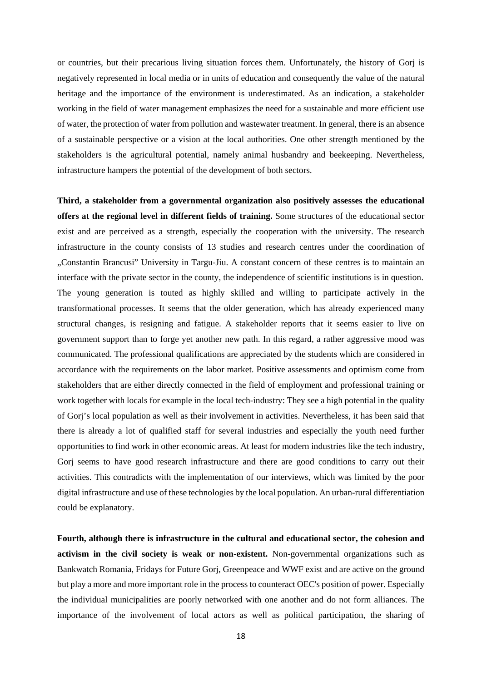or countries, but their precarious living situation forces them. Unfortunately, the history of Gorj is negatively represented in local media or in units of education and consequently the value of the natural heritage and the importance of the environment is underestimated. As an indication, a stakeholder working in the field of water management emphasizes the need for a sustainable and more efficient use of water, the protection of water from pollution and wastewater treatment. In general, there is an absence of a sustainable perspective or a vision at the local authorities. One other strength mentioned by the stakeholders is the agricultural potential, namely animal husbandry and beekeeping. Nevertheless, infrastructure hampers the potential of the development of both sectors.

**Third, a stakeholder from a governmental organization also positively assesses the educational offers at the regional level in different fields of training.** Some structures of the educational sector exist and are perceived as a strength, especially the cooperation with the university. The research infrastructure in the county consists of 13 studies and research centres under the coordination of "Constantin Brancusi" University in Targu-Jiu. A constant concern of these centres is to maintain an interface with the private sector in the county, the independence of scientific institutions is in question. The young generation is touted as highly skilled and willing to participate actively in the transformational processes. It seems that the older generation, which has already experienced many structural changes, is resigning and fatigue. A stakeholder reports that it seems easier to live on government support than to forge yet another new path. In this regard, a rather aggressive mood was communicated. The professional qualifications are appreciated by the students which are considered in accordance with the requirements on the labor market. Positive assessments and optimism come from stakeholders that are either directly connected in the field of employment and professional training or work together with locals for example in the local tech-industry: They see a high potential in the quality of Gorj's local population as well as their involvement in activities. Nevertheless, it has been said that there is already a lot of qualified staff for several industries and especially the youth need further opportunities to find work in other economic areas. At least for modern industries like the tech industry, Gorj seems to have good research infrastructure and there are good conditions to carry out their activities. This contradicts with the implementation of our interviews, which was limited by the poor digital infrastructure and use of these technologies by the local population. An urban-rural differentiation could be explanatory.

**Fourth, although there is infrastructure in the cultural and educational sector, the cohesion and activism in the civil society is weak or non-existent.** Non-governmental organizations such as Bankwatch Romania, Fridays for Future Gorj, Greenpeace and WWF exist and are active on the ground but play a more and more important role in the process to counteract OEC's position of power. Especially the individual municipalities are poorly networked with one another and do not form alliances. The importance of the involvement of local actors as well as political participation, the sharing of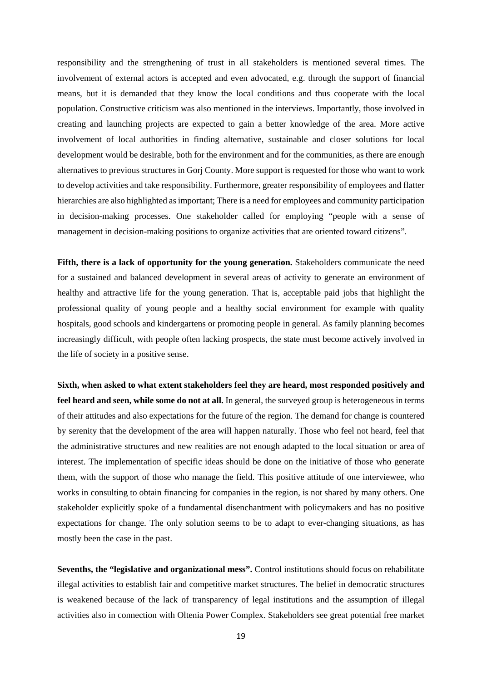responsibility and the strengthening of trust in all stakeholders is mentioned several times. The involvement of external actors is accepted and even advocated, e.g. through the support of financial means, but it is demanded that they know the local conditions and thus cooperate with the local population. Constructive criticism was also mentioned in the interviews. Importantly, those involved in creating and launching projects are expected to gain a better knowledge of the area. More active involvement of local authorities in finding alternative, sustainable and closer solutions for local development would be desirable, both for the environment and for the communities, as there are enough alternatives to previous structures in Gorj County. More support is requested for those who want to work to develop activities and take responsibility. Furthermore, greater responsibility of employees and flatter hierarchies are also highlighted as important; There is a need for employees and community participation in decision-making processes. One stakeholder called for employing "people with a sense of management in decision-making positions to organize activities that are oriented toward citizens".

**Fifth, there is a lack of opportunity for the young generation.** Stakeholders communicate the need for a sustained and balanced development in several areas of activity to generate an environment of healthy and attractive life for the young generation. That is, acceptable paid jobs that highlight the professional quality of young people and a healthy social environment for example with quality hospitals, good schools and kindergartens or promoting people in general. As family planning becomes increasingly difficult, with people often lacking prospects, the state must become actively involved in the life of society in a positive sense.

**Sixth, when asked to what extent stakeholders feel they are heard, most responded positively and feel heard and seen, while some do not at all.** In general, the surveyed group is heterogeneous in terms of their attitudes and also expectations for the future of the region. The demand for change is countered by serenity that the development of the area will happen naturally. Those who feel not heard, feel that the administrative structures and new realities are not enough adapted to the local situation or area of interest. The implementation of specific ideas should be done on the initiative of those who generate them, with the support of those who manage the field. This positive attitude of one interviewee, who works in consulting to obtain financing for companies in the region, is not shared by many others. One stakeholder explicitly spoke of a fundamental disenchantment with policymakers and has no positive expectations for change. The only solution seems to be to adapt to ever-changing situations, as has mostly been the case in the past.

**Sevenths, the "legislative and organizational mess".** Control institutions should focus on rehabilitate illegal activities to establish fair and competitive market structures. The belief in democratic structures is weakened because of the lack of transparency of legal institutions and the assumption of illegal activities also in connection with Oltenia Power Complex. Stakeholders see great potential free market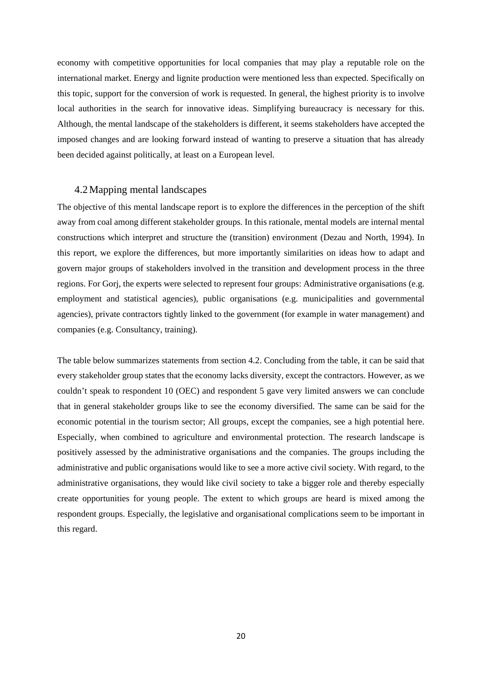economy with competitive opportunities for local companies that may play a reputable role on the international market. Energy and lignite production were mentioned less than expected. Specifically on this topic, support for the conversion of work is requested. In general, the highest priority is to involve local authorities in the search for innovative ideas. Simplifying bureaucracy is necessary for this. Although, the mental landscape of the stakeholders is different, it seems stakeholders have accepted the imposed changes and are looking forward instead of wanting to preserve a situation that has already been decided against politically, at least on a European level.

#### <span id="page-19-0"></span>4.2Mapping mental landscapes

The objective of this mental landscape report is to explore the differences in the perception of the shift away from coal among different stakeholder groups. In this rationale, mental models are internal mental constructions which interpret and structure the (transition) environment (Dezau and North, 1994). In this report, we explore the differences, but more importantly similarities on ideas how to adapt and govern major groups of stakeholders involved in the transition and development process in the three regions. For Gorj, the experts were selected to represent four groups: Administrative organisations (e.g. employment and statistical agencies), public organisations (e.g. municipalities and governmental agencies), private contractors tightly linked to the government (for example in water management) and companies (e.g. Consultancy, training).

The table below summarizes statements from section 4.2. Concluding from the table, it can be said that every stakeholder group states that the economy lacks diversity, except the contractors. However, as we couldn't speak to respondent 10 (OEC) and respondent 5 gave very limited answers we can conclude that in general stakeholder groups like to see the economy diversified. The same can be said for the economic potential in the tourism sector; All groups, except the companies, see a high potential here. Especially, when combined to agriculture and environmental protection. The research landscape is positively assessed by the administrative organisations and the companies. The groups including the administrative and public organisations would like to see a more active civil society. With regard, to the administrative organisations, they would like civil society to take a bigger role and thereby especially create opportunities for young people. The extent to which groups are heard is mixed among the respondent groups. Especially, the legislative and organisational complications seem to be important in this regard.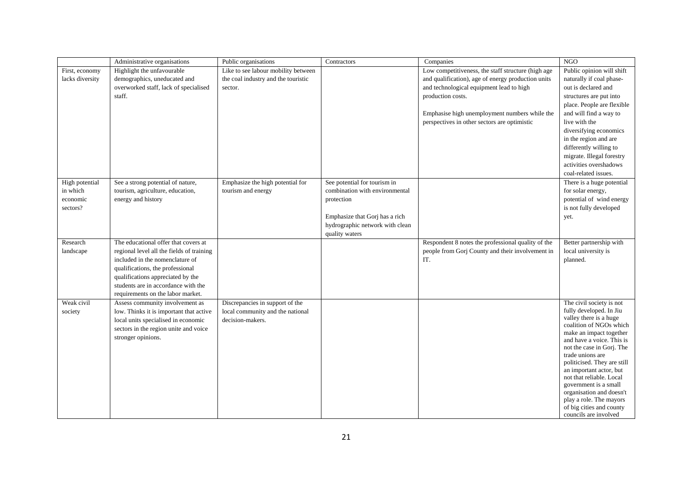|                 | Administrative organisations              | Public organisations                | Contractors                     | Companies                                          | NGO                                                 |
|-----------------|-------------------------------------------|-------------------------------------|---------------------------------|----------------------------------------------------|-----------------------------------------------------|
| First, economy  | Highlight the unfavourable                | Like to see labour mobility between |                                 | Low competitiveness, the staff structure (high age | Public opinion will shift                           |
| lacks diversity | demographics, uneducated and              | the coal industry and the touristic |                                 | and qualification), age of energy production units | naturally if coal phase-                            |
|                 | overworked staff, lack of specialised     | sector.                             |                                 | and technological equipment lead to high           | out is declared and                                 |
|                 | staff.                                    |                                     |                                 | production costs.                                  | structures are put into                             |
|                 |                                           |                                     |                                 |                                                    | place. People are flexible                          |
|                 |                                           |                                     |                                 | Emphasise high unemployment numbers while the      | and will find a way to                              |
|                 |                                           |                                     |                                 | perspectives in other sectors are optimistic       | live with the                                       |
|                 |                                           |                                     |                                 |                                                    | diversifying economics                              |
|                 |                                           |                                     |                                 |                                                    | in the region and are                               |
|                 |                                           |                                     |                                 |                                                    | differently willing to                              |
|                 |                                           |                                     |                                 |                                                    | migrate. Illegal forestry                           |
|                 |                                           |                                     |                                 |                                                    | activities overshadows                              |
|                 |                                           |                                     |                                 |                                                    | coal-related issues.                                |
| High potential  | See a strong potential of nature,         | Emphasize the high potential for    | See potential for tourism in    |                                                    | There is a huge potential                           |
| in which        | tourism, agriculture, education,          | tourism and energy                  | combination with environmental  |                                                    | for solar energy,                                   |
| economic        | energy and history                        |                                     | protection                      |                                                    | potential of wind energy                            |
| sectors?        |                                           |                                     |                                 |                                                    | is not fully developed                              |
|                 |                                           |                                     | Emphasize that Gorj has a rich  |                                                    | yet.                                                |
|                 |                                           |                                     | hydrographic network with clean |                                                    |                                                     |
|                 |                                           |                                     | quality waters                  |                                                    |                                                     |
| Research        | The educational offer that covers at      |                                     |                                 | Respondent 8 notes the professional quality of the | Better partnership with                             |
| landscape       | regional level all the fields of training |                                     |                                 | people from Gorj County and their involvement in   | local university is                                 |
|                 | included in the nomenclature of           |                                     |                                 | IT.                                                | planned.                                            |
|                 | qualifications, the professional          |                                     |                                 |                                                    |                                                     |
|                 | qualifications appreciated by the         |                                     |                                 |                                                    |                                                     |
|                 | students are in accordance with the       |                                     |                                 |                                                    |                                                     |
|                 | requirements on the labor market.         |                                     |                                 |                                                    |                                                     |
| Weak civil      | Assess community involvement as           | Discrepancies in support of the     |                                 |                                                    | The civil society is not<br>fully developed. In Jiu |
| society         | low. Thinks it is important that active   | local community and the national    |                                 |                                                    | valley there is a huge                              |
|                 | local units specialised in economic       | decision-makers.                    |                                 |                                                    | coalition of NGOs which                             |
|                 | sectors in the region unite and voice     |                                     |                                 |                                                    | make an impact together                             |
|                 | stronger opinions.                        |                                     |                                 |                                                    | and have a voice. This is                           |
|                 |                                           |                                     |                                 |                                                    | not the case in Gorj. The                           |
|                 |                                           |                                     |                                 |                                                    | trade unions are<br>politicised. They are still     |
|                 |                                           |                                     |                                 |                                                    | an important actor, but                             |
|                 |                                           |                                     |                                 |                                                    | not that reliable. Local                            |
|                 |                                           |                                     |                                 |                                                    | government is a small                               |
|                 |                                           |                                     |                                 |                                                    | organisation and doesn't                            |
|                 |                                           |                                     |                                 |                                                    | play a role. The mayors                             |
|                 |                                           |                                     |                                 |                                                    | of big cities and county                            |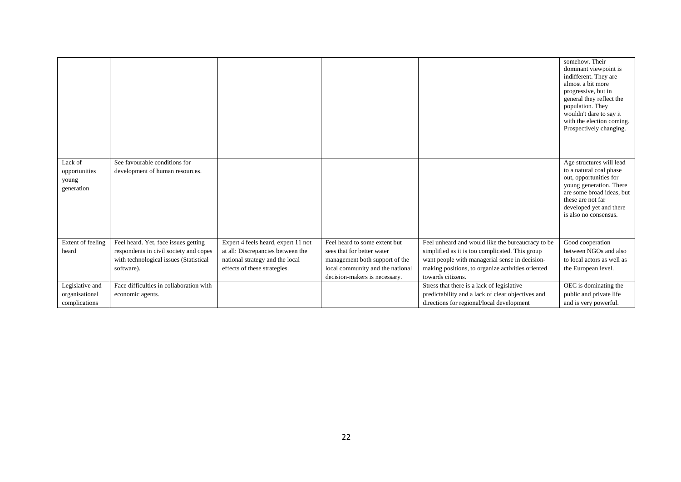|                          |                                                                  |                                     |                                  |                                                   | somehow. Their<br>dominant viewpoint is<br>indifferent. They are<br>almost a bit more<br>progressive, but in<br>general they reflect the<br>population. They<br>wouldn't dare to say it<br>with the election coming.<br>Prospectively changing. |
|--------------------------|------------------------------------------------------------------|-------------------------------------|----------------------------------|---------------------------------------------------|-------------------------------------------------------------------------------------------------------------------------------------------------------------------------------------------------------------------------------------------------|
| Lack of<br>opportunities | See favourable conditions for<br>development of human resources. |                                     |                                  |                                                   | Age structures will lead<br>to a natural coal phase                                                                                                                                                                                             |
| young                    |                                                                  |                                     |                                  |                                                   | out, opportunities for                                                                                                                                                                                                                          |
| generation               |                                                                  |                                     |                                  |                                                   | young generation. There<br>are some broad ideas, but                                                                                                                                                                                            |
|                          |                                                                  |                                     |                                  |                                                   | these are not far                                                                                                                                                                                                                               |
|                          |                                                                  |                                     |                                  |                                                   | developed yet and there<br>is also no consensus.                                                                                                                                                                                                |
|                          |                                                                  |                                     |                                  |                                                   |                                                                                                                                                                                                                                                 |
|                          |                                                                  |                                     |                                  |                                                   |                                                                                                                                                                                                                                                 |
| Extent of feeling        | Feel heard. Yet, face issues getting                             | Expert 4 feels heard, expert 11 not | Feel heard to some extent but    | Feel unheard and would like the bureaucracy to be | Good cooperation                                                                                                                                                                                                                                |
| heard                    | respondents in civil society and copes                           | at all: Discrepancies between the   | sees that for better water       | simplified as it is too complicated. This group   | between NGOs and also                                                                                                                                                                                                                           |
|                          | with technological issues (Statistical                           | national strategy and the local     | management both support of the   | want people with managerial sense in decision-    | to local actors as well as                                                                                                                                                                                                                      |
|                          | software).                                                       | effects of these strategies.        | local community and the national | making positions, to organize activities oriented | the European level.                                                                                                                                                                                                                             |
|                          |                                                                  |                                     | decision-makers is necessary.    | towards citizens.                                 |                                                                                                                                                                                                                                                 |
| Legislative and          | Face difficulties in collaboration with                          |                                     |                                  | Stress that there is a lack of legislative        | OEC is dominating the                                                                                                                                                                                                                           |
| organisational           | economic agents.                                                 |                                     |                                  | predictability and a lack of clear objectives and | public and private life                                                                                                                                                                                                                         |
| complications            |                                                                  |                                     |                                  | directions for regional/local development         | and is very powerful.                                                                                                                                                                                                                           |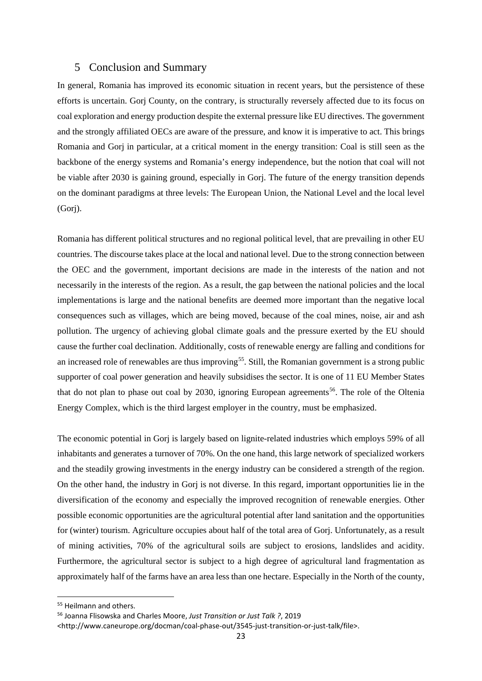## <span id="page-22-0"></span>5 Conclusion and Summary

In general, Romania has improved its economic situation in recent years, but the persistence of these efforts is uncertain. Gorj County, on the contrary, is structurally reversely affected due to its focus on coal exploration and energy production despite the external pressure like EU directives. The government and the strongly affiliated OECs are aware of the pressure, and know it is imperative to act. This brings Romania and Gorj in particular, at a critical moment in the energy transition: Coal is still seen as the backbone of the energy systems and Romania's energy independence, but the notion that coal will not be viable after 2030 is gaining ground, especially in Gorj. The future of the energy transition depends on the dominant paradigms at three levels: The European Union, the National Level and the local level (Gorj).

Romania has different political structures and no regional political level, that are prevailing in other EU countries. The discourse takes place at the local and national level. Due to the strong connection between the OEC and the government, important decisions are made in the interests of the nation and not necessarily in the interests of the region. As a result, the gap between the national policies and the local implementations is large and the national benefits are deemed more important than the negative local consequences such as villages, which are being moved, because of the coal mines, noise, air and ash pollution. The urgency of achieving global climate goals and the pressure exerted by the EU should cause the further coal declination. Additionally, costs of renewable energy are falling and conditions for an increased role of renewables are thus improving<sup>55</sup>. Still, the Romanian government is a strong public supporter of coal power generation and heavily subsidises the sector. It is one of 11 EU Member States that do not plan to phase out coal by 2030, ignoring European agreements<sup>[56](#page-22-2)</sup>. The role of the Oltenia Energy Complex, which is the third largest employer in the country, must be emphasized.

The economic potential in Gorj is largely based on lignite-related industries which employs 59% of all inhabitants and generates a turnover of 70%. On the one hand, this large network of specialized workers and the steadily growing investments in the energy industry can be considered a strength of the region. On the other hand, the industry in Gorj is not diverse. In this regard, important opportunities lie in the diversification of the economy and especially the improved recognition of renewable energies. Other possible economic opportunities are the agricultural potential after land sanitation and the opportunities for (winter) tourism. Agriculture occupies about half of the total area of Gorj. Unfortunately, as a result of mining activities, 70% of the agricultural soils are subject to erosions, landslides and acidity. Furthermore, the agricultural sector is subject to a high degree of agricultural land fragmentation as approximately half of the farms have an area less than one hectare. Especially in the North of the county,

<span id="page-22-1"></span><sup>&</sup>lt;sup>55</sup> Heilmann and others.

<span id="page-22-2"></span><sup>56</sup> Joanna Flisowska and Charles Moore, *Just Transition or Just Talk ?*, 2019

<sup>&</sup>lt;http://www.caneurope.org/docman/coal-phase-out/3545-just-transition-or-just-talk/file>.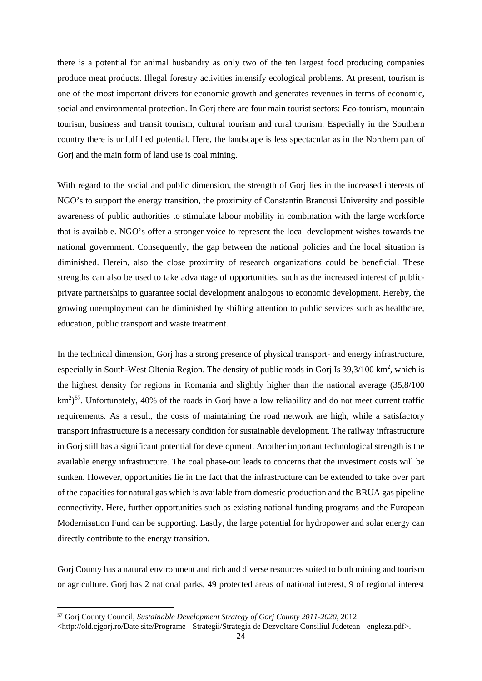there is a potential for animal husbandry as only two of the ten largest food producing companies produce meat products. Illegal forestry activities intensify ecological problems. At present, tourism is one of the most important drivers for economic growth and generates revenues in terms of economic, social and environmental protection. In Gorj there are four main tourist sectors: Eco-tourism, mountain tourism, business and transit tourism, cultural tourism and rural tourism. Especially in the Southern country there is unfulfilled potential. Here, the landscape is less spectacular as in the Northern part of Gorj and the main form of land use is coal mining.

With regard to the social and public dimension, the strength of Gorj lies in the increased interests of NGO's to support the energy transition, the proximity of Constantin Brancusi University and possible awareness of public authorities to stimulate labour mobility in combination with the large workforce that is available. NGO's offer a stronger voice to represent the local development wishes towards the national government. Consequently, the gap between the national policies and the local situation is diminished. Herein, also the close proximity of research organizations could be beneficial. These strengths can also be used to take advantage of opportunities, such as the increased interest of publicprivate partnerships to guarantee social development analogous to economic development. Hereby, the growing unemployment can be diminished by shifting attention to public services such as healthcare, education, public transport and waste treatment.

In the technical dimension, Gorj has a strong presence of physical transport- and energy infrastructure, especially in South-West Oltenia Region. The density of public roads in Gorj Is  $39,3/100$  km<sup>2</sup>, which is the highest density for regions in Romania and slightly higher than the national average (35,8/100  $\text{km}^2$ <sup>57</sup>. Unfortunately, 40% of the roads in Gorj have a low reliability and do not meet current traffic requirements. As a result, the costs of maintaining the road network are high, while a satisfactory transport infrastructure is a necessary condition for sustainable development. The railway infrastructure in Gorj still has a significant potential for development. Another important technological strength is the available energy infrastructure. The coal phase-out leads to concerns that the investment costs will be sunken. However, opportunities lie in the fact that the infrastructure can be extended to take over part of the capacities for natural gas which is available from domestic production and the BRUA gas pipeline connectivity. Here, further opportunities such as existing national funding programs and the European Modernisation Fund can be supporting. Lastly, the large potential for hydropower and solar energy can directly contribute to the energy transition.

Gorj County has a natural environment and rich and diverse resources suited to both mining and tourism or agriculture. Gorj has 2 national parks, 49 protected areas of national interest, 9 of regional interest

**.** 

<span id="page-23-0"></span><sup>57</sup> Gorj County Council, *Sustainable Development Strategy of Gorj County 2011-2020*, 2012

<sup>&</sup>lt;http://old.cjgorj.ro/Date site/Programe - Strategii/Strategia de Dezvoltare Consiliul Judetean - engleza.pdf>.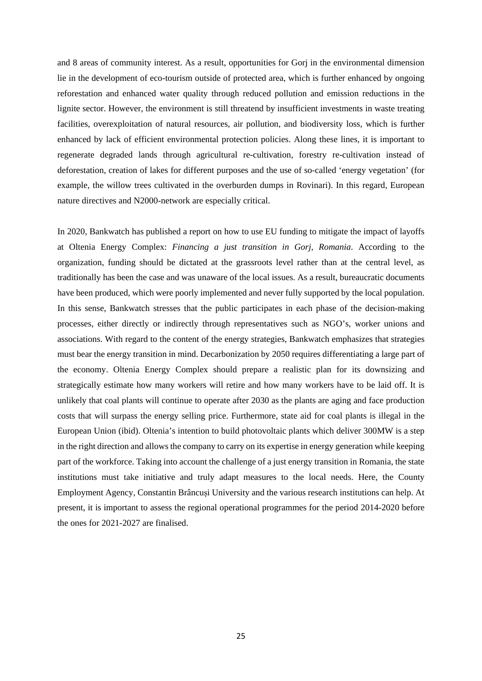and 8 areas of community interest. As a result, opportunities for Gorj in the environmental dimension lie in the development of eco-tourism outside of protected area, which is further enhanced by ongoing reforestation and enhanced water quality through reduced pollution and emission reductions in the lignite sector. However, the environment is still threatend by insufficient investments in waste treating facilities, overexploitation of natural resources, air pollution, and biodiversity loss, which is further enhanced by lack of efficient environmental protection policies. Along these lines, it is important to regenerate degraded lands through agricultural re-cultivation, forestry re-cultivation instead of deforestation, creation of lakes for different purposes and the use of so-called 'energy vegetation' (for example, the willow trees cultivated in the overburden dumps in Rovinari). In this regard, European nature directives and N2000-network are especially critical.

In 2020, Bankwatch has published a report on how to use EU funding to mitigate the impact of layoffs at Oltenia Energy Complex: *Financing a just transition in Gorj, Romania*. According to the organization, funding should be dictated at the grassroots level rather than at the central level, as traditionally has been the case and was unaware of the local issues. As a result, bureaucratic documents have been produced, which were poorly implemented and never fully supported by the local population. In this sense, Bankwatch stresses that the public participates in each phase of the decision-making processes, either directly or indirectly through representatives such as NGO's, worker unions and associations. With regard to the content of the energy strategies, Bankwatch emphasizes that strategies must bear the energy transition in mind. Decarbonization by 2050 requires differentiating a large part of the economy. Oltenia Energy Complex should prepare a realistic plan for its downsizing and strategically estimate how many workers will retire and how many workers have to be laid off. It is unlikely that coal plants will continue to operate after 2030 as the plants are aging and face production costs that will surpass the energy selling price. Furthermore, state aid for coal plants is illegal in the European Union (ibid). Oltenia's intention to build photovoltaic plants which deliver 300MW is a step in the right direction and allows the company to carry on its expertise in energy generation while keeping part of the workforce. Taking into account the challenge of a just energy transition in Romania, the state institutions must take initiative and truly adapt measures to the local needs. Here, the County Employment Agency, Constantin Brâncuși University and the various research institutions can help. At present, it is important to assess the regional operational programmes for the period 2014-2020 before the ones for 2021-2027 are finalised.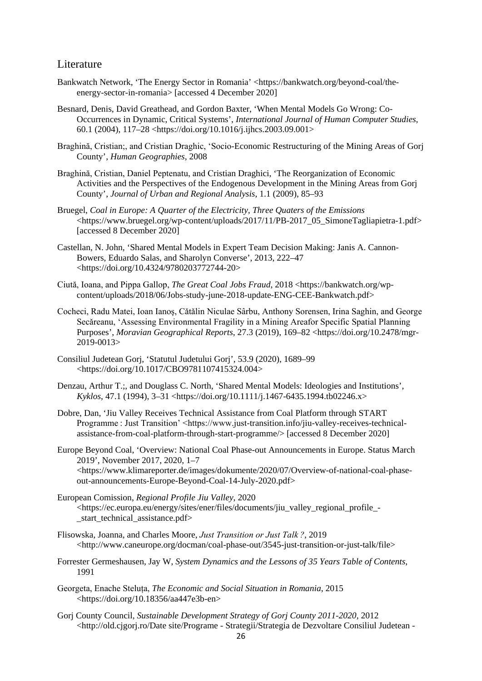## <span id="page-25-0"></span>Literature

- Bankwatch Network, 'The Energy Sector in Romania' <https://bankwatch.org/beyond-coal/theenergy-sector-in-romania> [accessed 4 December 2020]
- Besnard, Denis, David Greathead, and Gordon Baxter, 'When Mental Models Go Wrong: Co-Occurrences in Dynamic, Critical Systems', *International Journal of Human Computer Studies*, 60.1 (2004), 117–28 <https://doi.org/10.1016/j.ijhcs.2003.09.001>
- Braghină, Cristian;, and Cristian Draghic, 'Socio-Economic Restructuring of the Mining Areas of Gorj County', *Human Geographies*, 2008
- Braghină, Cristian, Daniel Peptenatu, and Cristian Draghici, 'The Reorganization of Economic Activities and the Perspectives of the Endogenous Development in the Mining Areas from Gorj County', *Journal of Urban and Regional Analysis*, 1.1 (2009), 85–93
- Bruegel, *Coal in Europe: A Quarter of the Electricity, Three Quaters of the Emissions* <https://www.bruegel.org/wp-content/uploads/2017/11/PB-2017\_05\_SimoneTagliapietra-1.pdf> [accessed 8 December 2020]
- Castellan, N. John, 'Shared Mental Models in Expert Team Decision Making: Janis A. Cannon-Bowers, Eduardo Salas, and Sharolyn Converse', 2013, 222–47 <https://doi.org/10.4324/9780203772744-20>
- Ciută, Ioana, and Pippa Gallop, *The Great Coal Jobs Fraud*, 2018 <https://bankwatch.org/wpcontent/uploads/2018/06/Jobs-study-june-2018-update-ENG-CEE-Bankwatch.pdf>
- Cocheci, Radu Matei, Ioan Ianoş, Cǎtǎlin Niculae Sârbu, Anthony Sorensen, Irina Saghin, and George Secǎreanu, 'Assessing Environmental Fragility in a Mining Areafor Specific Spatial Planning Purposes', *Moravian Geographical Reports*, 27.3 (2019), 169–82 <https://doi.org/10.2478/mgr- $2019 - 0013$
- Consiliul Judetean Gorj, 'Statutul Judetului Gorj', 53.9 (2020), 1689–99 <https://doi.org/10.1017/CBO9781107415324.004>
- Denzau, Arthur T.;, and Douglass C. North, 'Shared Mental Models: Ideologies and Institutions', *Kyklos*, 47.1 (1994), 3–31 <https://doi.org/10.1111/j.1467-6435.1994.tb02246.x>
- Dobre, Dan, 'Jiu Valley Receives Technical Assistance from Coal Platform through START Programme : Just Transition' <https://www.just-transition.info/jiu-valley-receives-technicalassistance-from-coal-platform-through-start-programme/> [accessed 8 December 2020]
- Europe Beyond Coal, 'Overview: National Coal Phase-out Announcements in Europe. Status March 2019', November 2017, 2020, 1–7 <https://www.klimareporter.de/images/dokumente/2020/07/Overview-of-national-coal-phaseout-announcements-Europe-Beyond-Coal-14-July-2020.pdf>
- European Comission, *Regional Profile Jiu Valley*, 2020 <https://ec.europa.eu/energy/sites/ener/files/documents/jiu\_valley\_regional\_profile\_ start technical assistance.pdf>
- Flisowska, Joanna, and Charles Moore, *Just Transition or Just Talk ?*, 2019 <http://www.caneurope.org/docman/coal-phase-out/3545-just-transition-or-just-talk/file>
- Forrester Germeshausen, Jay W, *System Dynamics and the Lessons of 35 Years Table of Contents*, 1991
- Georgeta, Enache Steluța, *The Economic and Social Situation in Romania*, 2015 <https://doi.org/10.18356/aa447e3b-en>
- Gorj County Council, *Sustainable Development Strategy of Gorj County 2011-2020*, 2012 <http://old.cjgorj.ro/Date site/Programe - Strategii/Strategia de Dezvoltare Consiliul Judetean -